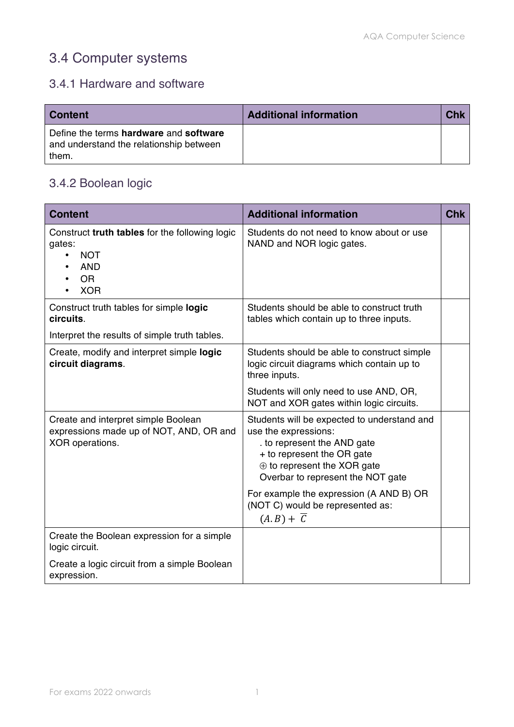# 3.4 Computer systems

#### 3.4.1 Hardware and software

| <b>Content</b>                                                                             | <b>Additional information</b> | Chk |
|--------------------------------------------------------------------------------------------|-------------------------------|-----|
| Define the terms hardware and software<br>and understand the relationship between<br>them. |                               |     |

#### 3.4.2 Boolean logic

| <b>Content</b>                                                                                                  | <b>Additional information</b>                                                                                                                                                                             | <b>Chk</b> |
|-----------------------------------------------------------------------------------------------------------------|-----------------------------------------------------------------------------------------------------------------------------------------------------------------------------------------------------------|------------|
| Construct truth tables for the following logic<br>gates:<br><b>NOT</b><br><b>AND</b><br><b>OR</b><br><b>XOR</b> | Students do not need to know about or use<br>NAND and NOR logic gates.                                                                                                                                    |            |
| Construct truth tables for simple logic<br>circuits.<br>Interpret the results of simple truth tables.           | Students should be able to construct truth<br>tables which contain up to three inputs.                                                                                                                    |            |
| Create, modify and interpret simple logic<br>circuit diagrams.                                                  | Students should be able to construct simple<br>logic circuit diagrams which contain up to<br>three inputs.                                                                                                |            |
|                                                                                                                 | Students will only need to use AND, OR,<br>NOT and XOR gates within logic circuits.                                                                                                                       |            |
| Create and interpret simple Boolean<br>expressions made up of NOT, AND, OR and<br>XOR operations.               | Students will be expected to understand and<br>use the expressions:<br>to represent the AND gate<br>+ to represent the OR gate<br>$\oplus$ to represent the XOR gate<br>Overbar to represent the NOT gate |            |
|                                                                                                                 | For example the expression (A AND B) OR<br>(NOT C) would be represented as:<br>$(A,B)+\overline{C}$                                                                                                       |            |
| Create the Boolean expression for a simple<br>logic circuit.                                                    |                                                                                                                                                                                                           |            |
| Create a logic circuit from a simple Boolean<br>expression.                                                     |                                                                                                                                                                                                           |            |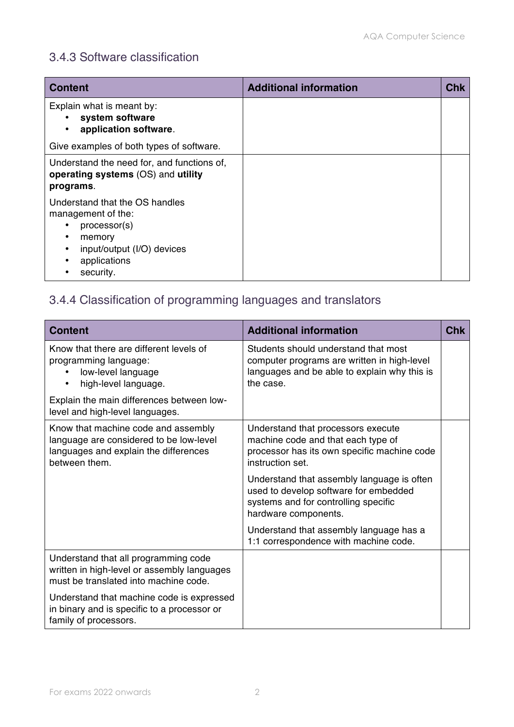#### 3.4.3 Software classification

| <b>Content</b>                                                                                                                                 | <b>Additional information</b> | Chk |
|------------------------------------------------------------------------------------------------------------------------------------------------|-------------------------------|-----|
| Explain what is meant by:<br>system software<br>application software.<br>$\bullet$                                                             |                               |     |
| Give examples of both types of software.                                                                                                       |                               |     |
| Understand the need for, and functions of,<br>operating systems (OS) and utility<br>programs.                                                  |                               |     |
| Understand that the OS handles<br>management of the:<br>processor(s)<br>memory<br>input/output (I/O) devices<br>٠<br>applications<br>security. |                               |     |

### 3.4.4 Classification of programming languages and translators

| <b>Content</b>                                                                                                                           | <b>Additional information</b>                                                                                                                       | <b>Chk</b> |
|------------------------------------------------------------------------------------------------------------------------------------------|-----------------------------------------------------------------------------------------------------------------------------------------------------|------------|
| Know that there are different levels of<br>programming language:<br>low-level language<br>high-level language.<br>$\bullet$              | Students should understand that most<br>computer programs are written in high-level<br>languages and be able to explain why this is<br>the case.    |            |
| Explain the main differences between low-<br>level and high-level languages.                                                             |                                                                                                                                                     |            |
| Know that machine code and assembly<br>language are considered to be low-level<br>languages and explain the differences<br>between them. | Understand that processors execute<br>machine code and that each type of<br>processor has its own specific machine code<br>instruction set.         |            |
|                                                                                                                                          | Understand that assembly language is often<br>used to develop software for embedded<br>systems and for controlling specific<br>hardware components. |            |
|                                                                                                                                          | Understand that assembly language has a<br>1:1 correspondence with machine code.                                                                    |            |
| Understand that all programming code<br>written in high-level or assembly languages<br>must be translated into machine code.             |                                                                                                                                                     |            |
| Understand that machine code is expressed<br>in binary and is specific to a processor or<br>family of processors.                        |                                                                                                                                                     |            |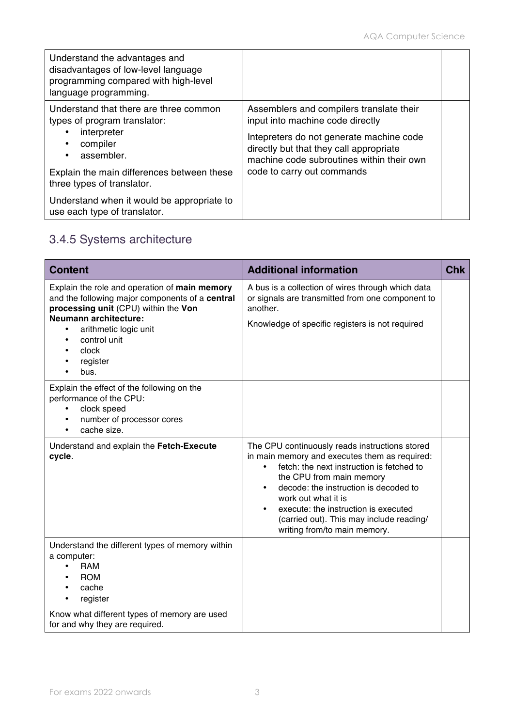| Understand the advantages and<br>disadvantages of low-level language<br>programming compared with high-level<br>language programming.                                                       |                                                                                                                                                                                                                                                |  |
|---------------------------------------------------------------------------------------------------------------------------------------------------------------------------------------------|------------------------------------------------------------------------------------------------------------------------------------------------------------------------------------------------------------------------------------------------|--|
| Understand that there are three common<br>types of program translator:<br>interpreter<br>compiler<br>assembler.<br>Explain the main differences between these<br>three types of translator. | Assemblers and compilers translate their<br>input into machine code directly<br>Intepreters do not generate machine code<br>directly but that they call appropriate<br>machine code subroutines within their own<br>code to carry out commands |  |
| Understand when it would be appropriate to<br>use each type of translator.                                                                                                                  |                                                                                                                                                                                                                                                |  |

## 3.4.5 Systems architecture

| <b>Content</b>                                                                                                                                                                                                                                                           | <b>Additional information</b>                                                                                                                                                                                                                                                                                                                                | <b>Chk</b> |
|--------------------------------------------------------------------------------------------------------------------------------------------------------------------------------------------------------------------------------------------------------------------------|--------------------------------------------------------------------------------------------------------------------------------------------------------------------------------------------------------------------------------------------------------------------------------------------------------------------------------------------------------------|------------|
| Explain the role and operation of main memory<br>and the following major components of a central<br>processing unit (CPU) within the Von<br><b>Neumann architecture:</b><br>arithmetic logic unit<br>$\bullet$<br>control unit<br>$\bullet$<br>clock<br>register<br>bus. | A bus is a collection of wires through which data<br>or signals are transmitted from one component to<br>another.<br>Knowledge of specific registers is not required                                                                                                                                                                                         |            |
| Explain the effect of the following on the<br>performance of the CPU:<br>clock speed<br>٠<br>number of processor cores<br>$\bullet$<br>cache size.<br>$\bullet$                                                                                                          |                                                                                                                                                                                                                                                                                                                                                              |            |
| Understand and explain the Fetch-Execute<br>cycle.                                                                                                                                                                                                                       | The CPU continuously reads instructions stored<br>in main memory and executes them as required:<br>fetch: the next instruction is fetched to<br>the CPU from main memory<br>decode: the instruction is decoded to<br>work out what it is<br>execute: the instruction is executed<br>(carried out). This may include reading/<br>writing from/to main memory. |            |
| Understand the different types of memory within<br>a computer:<br><b>RAM</b><br>$\bullet$<br><b>ROM</b><br>cache<br>register<br>٠<br>Know what different types of memory are used<br>for and why they are required.                                                      |                                                                                                                                                                                                                                                                                                                                                              |            |